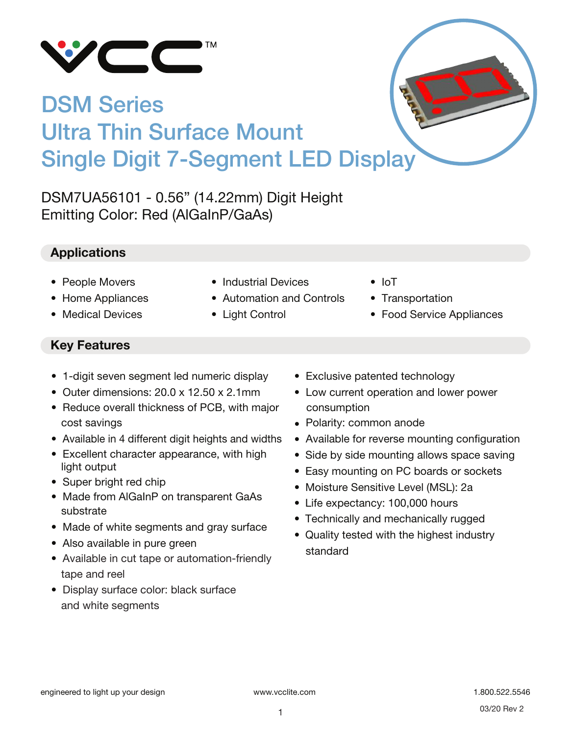

# DSM Series Ultra Thin Surface Mount Single Digit 7-Segment LED Display

DSM7UA56101 - 0.56" (14.22mm) Digit Height Emitting Color: Red (AlGaInP/GaAs)

# **Applications**

- People Movers
- Home Appliances
- Medical Devices
- Industrial Devices
- Automation and Controls
- Light Control
- IoT
- Transportation
- Food Service Appliances

# **Key Features**

- 1-digit seven segment led numeric display
- Outer dimensions: 20.0 x 12.50 x 2.1mm
- Reduce overall thickness of PCB, with major cost savings
- Available in 4 different digit heights and widths
- Excellent character appearance, with high light output
- Super bright red chip
- Made from AlGaInP on transparent GaAs substrate
- Made of white segments and gray surface
- Also available in pure green
- Available in cut tape or automation-friendly tape and reel
- Display surface color: black surface and white segments
- Exclusive patented technology
- Low current operation and lower power consumption
- Polarity: common anode
- Available for reverse mounting configuration
- Side by side mounting allows space saving
- Easy mounting on PC boards or sockets
- Moisture Sensitive Level (MSL): 2a
- Life expectancy: 100,000 hours
- Technically and mechanically rugged
- Quality tested with the highest industry standard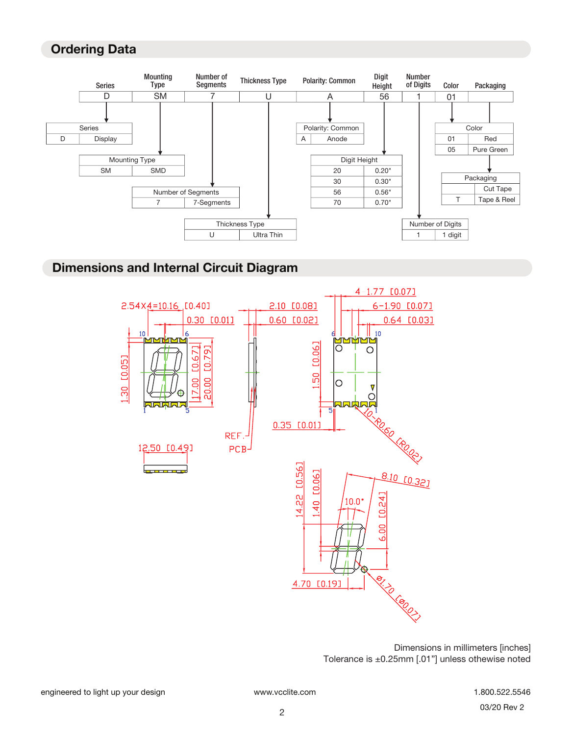## **Ordering Data**



#### **Dimensions and Internal Circuit Diagram**



Dimensions in millimeters [inches] Tolerance is ±0.25mm [.01"] unless othewise noted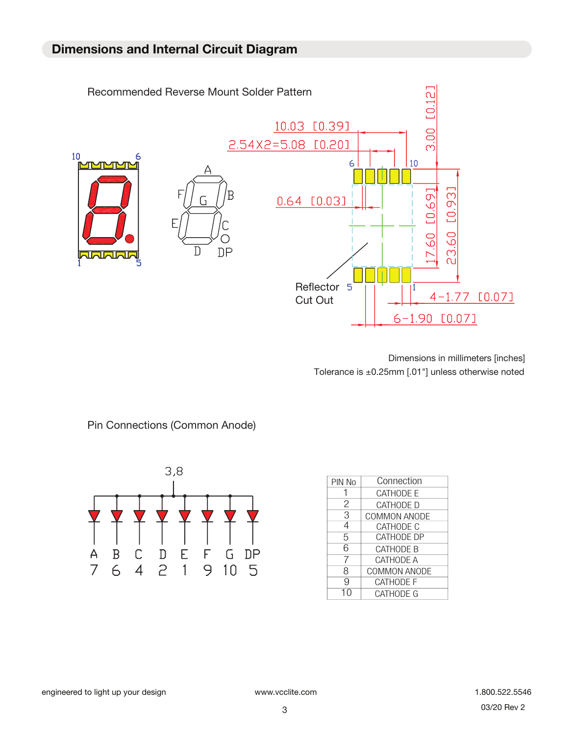

Dimensions in millimeters [inches] Tolerance is ±0.25mm [.01"] unless otherwise noted



| PIN No | Connection          |
|--------|---------------------|
|        | <b>CATHODE E</b>    |
| 2      | CATHODE D           |
| 3      | <b>COMMON ANODE</b> |
| 4      | CATHODE C           |
| 5      | <b>CATHODE DP</b>   |
| 6      | <b>CATHODE B</b>    |
|        | <b>CATHODE A</b>    |
| 8      | <b>COMMON ANODE</b> |
| 9      | <b>CATHODE F</b>    |
|        | <b>CATHODE G</b>    |

Pin Connections (Common Anode)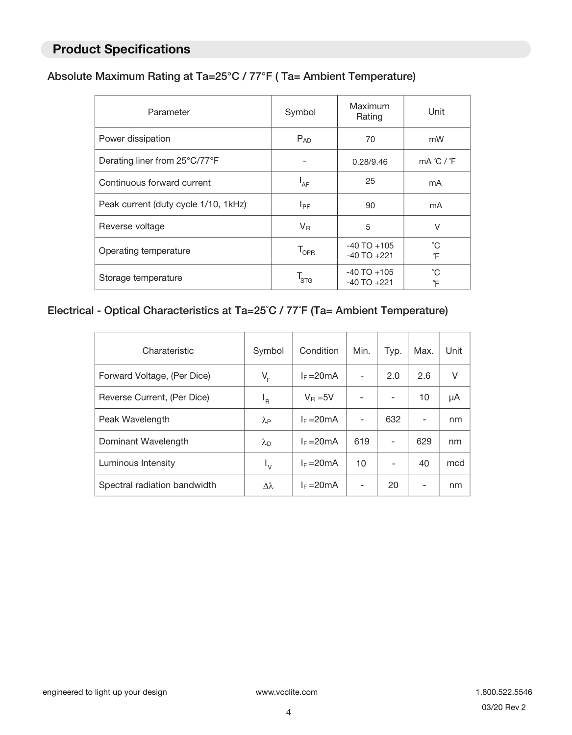### **Product Specifications**

#### Absolute Maximum Rating at Ta=25°C / 77°F ( Ta= Ambient Temperature)

| Parameter                            | Symbol                      | Maximum<br>Rating                  |                               |
|--------------------------------------|-----------------------------|------------------------------------|-------------------------------|
| Power dissipation                    | $P_{AD}$                    | 70                                 | mW                            |
| Derating liner from 25°C/77°F        |                             | 0.28/9.46                          | $mA^{\circ}C$ / ${}^{\circ}F$ |
| Continuous forward current           | $I_{AF}$                    | 25                                 | mA                            |
| Peak current (duty cycle 1/10, 1kHz) | $I_{PF}$                    | 90                                 | mA                            |
| Reverse voltage                      | $V_{R}$                     | 5                                  | $\vee$                        |
| Operating temperature                | $\mathsf{T}_{\mathsf{OPR}}$ | $-40$ TO $+105$<br>$-40$ TO $+221$ | °С<br>°F                      |
| Storage temperature                  | 'STG                        | $-40$ TO $+105$<br>$-40$ TO $+221$ | °C<br>°F                      |

#### Electrical - Optical Characteristics at Ta=25˚C / 77˚F (Ta= Ambient Temperature)

| Charateristic                | Symbol                 | Condition    | Min. | Typ.                     | Max. | Unit |
|------------------------------|------------------------|--------------|------|--------------------------|------|------|
| Forward Voltage, (Per Dice)  | $V_F$                  | $I_F = 20mA$ |      | 2.0                      | 2.6  | V    |
| Reverse Current, (Per Dice)  | 'R                     | $V_R = 5V$   |      | ۰                        | 10   | μA   |
| Peak Wavelength              | $\lambda_{\mathsf{P}}$ | $I_F = 20mA$ |      | 632                      | -    | nm   |
| Dominant Wavelength          | $\lambda_{\sf D}$      | $I_F = 20mA$ | 619  |                          | 629  | nm   |
| Luminous Intensity           | $I_{\rm V}$            | $I_F = 20mA$ | 10   | $\overline{\phantom{0}}$ | 40   | mcd  |
| Spectral radiation bandwidth | $\Delta\lambda$        | $I_F = 20mA$ |      | 20                       | -    | nm   |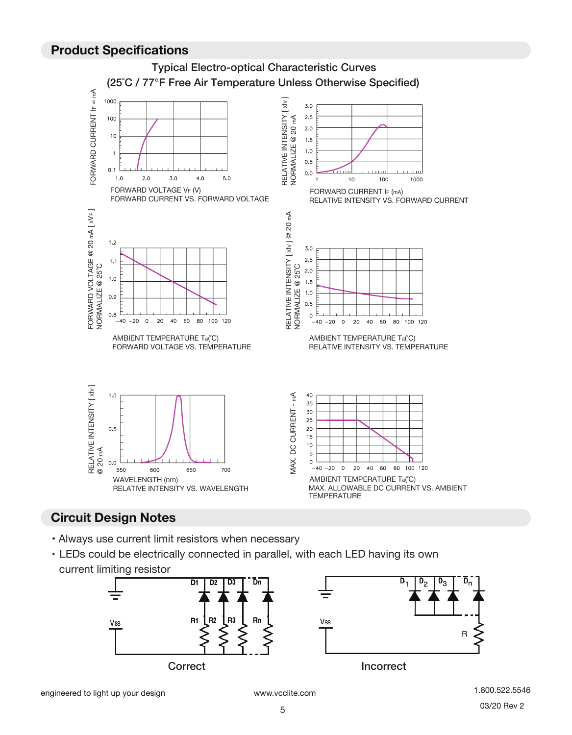#### **Product Specifications**



## **Circuit Design Notes**

- Always use current limit resistors when necessary
- LEDs could be electrically connected in parallel, with each LED having its own current limiting resistor



R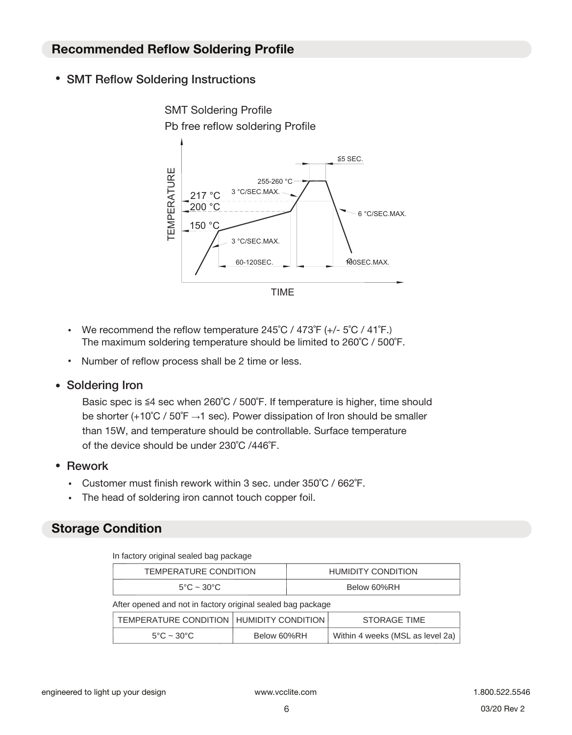#### **Recommended Reflow Soldering Profile**

• SMT Reflow Soldering Instructions



- We recommend the reflow temperature  $245^{\circ}$ C /  $473^{\circ}$ F (+/-  $5^{\circ}$ C /  $41^{\circ}$ F.) The maximum soldering temperature should be limited to 260˚C / 500˚F.
- Number of reflow process shall be 2 time or less.
- Soldering Iron

Basic spec is ≦4 sec when 260˚C / 500˚F. If temperature is higher, time should be shorter (+10°C / 50°F  $\rightarrow$ 1 sec). Power dissipation of Iron should be smaller than 15W, and temperature should be controllable. Surface temperature of the device should be under 230˚C /446˚F.

- Rework
	- Customer must finish rework within 3 sec. under 350˚C / 662˚F.
	- The head of soldering iron cannot touch copper foil.

## **Storage Condition**

|  |  | In factory original sealed bag package |
|--|--|----------------------------------------|
|  |  |                                        |

| TEMPERATURE CONDITION                                       |             |             | <b>HUMIDITY CONDITION</b>        |  |  |  |
|-------------------------------------------------------------|-------------|-------------|----------------------------------|--|--|--|
| $5^{\circ}$ C ~ 30 $^{\circ}$ C                             |             | Below 60%RH |                                  |  |  |  |
| After opened and not in factory original sealed bag package |             |             |                                  |  |  |  |
| TEMPERATURE CONDITION   HUMIDITY CONDITION                  |             |             | <b>STORAGE TIME</b>              |  |  |  |
| $5^{\circ}$ C ~ 30 $^{\circ}$ C                             | Below 60%RH |             | Within 4 weeks (MSL as level 2a) |  |  |  |